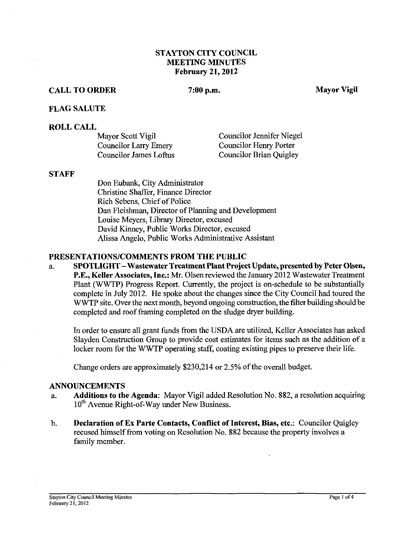## **STAYTON CITY COUNCIL MEETING MINUTES February 21,2012**

## **CALL TO ORDER**

#### 7:00 p.m.

#### **FLAG SALUTE**

#### **ROLL CALL**

| Mayor Scott Vigil      | <b>Councilor Jennifer Niegel</b> |
|------------------------|----------------------------------|
| Councilor Larry Emery  | Councilor Henry Porter           |
| Councilor James Loftus | Councilor Brian Quigley          |

#### **STAFF**

Don Eubank, City Administrator Christine Shaffer, Finance Director Rich Sebens, Chief of Police Dan Fleishman, Director of Planning and Development Louise Meyers, Library Director, excused David Kinney, Public Works Director, excused Alissa Angelo, Public Works Administrative Assistant

#### **PRESENTATIONSICOMMENTS FROM THE PUBLIC**

a. **SPOTLIGHT** - **Wastewater Treatment Plant Project Update, presented by Peter Olsen, P.E., Keller Associates, Inc.: Mr.** Olsen reviewed the January 2012 Wastewater Treatment Plant (WWTP) Progress Report. Currently, the project is on-schedule to be substantially complete in July 2012. He spoke about the changes since the City Council had toured the WWTP site. Over the next month, beyond ongoing construction, the filter building should be completed and roof framing completed on the sludge dryer building.

In order to ensure all grant funds from the USDA are utilized, Keller Associates has asked Slayden Construction Group to provide cost estimates for items such as the addition of a locker room for the WWTP operating staff, coating existing pipes to preserve their life.

Change orders are approximately \$230,214 or 2.5% of the overall budget.

#### **ANNOUNCEMENTS**

- a. **Additions to the Agenda:** Mayor Vigil added Resolution No. 882, a resolution acquiring 10<sup>th</sup> Avenue Right-of-Way under New Business.
- b. **Declaration of Ex Parte Contacts, Conflict of Interest, Bias, etc.:** Councilor Quigley recused himself from voting on Resolution No. 882 because the property involves a family member.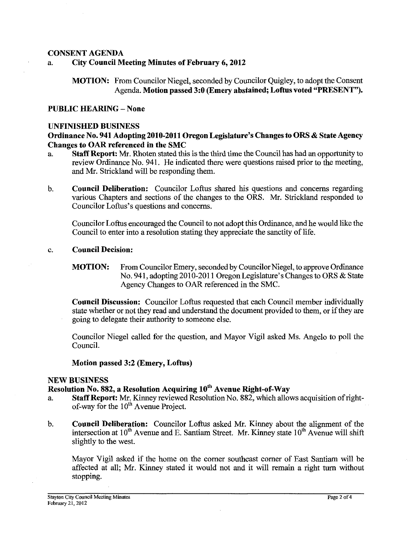## **CONSENT AGENDA**

## a. **City Council Meeting Minutes of February 6,2012**

**MOTION:** From Councilor Niegel, seconded by Councilor Quigley, to adopt the Consent Agenda. **Motion passed 3:O (Emery abstained; Loftus voted "PRESENT").** 

#### **PUBLIC HEARING** - **None**

#### **UNFINISHED BUSINESS**

#### **Ordinance No. 941 Adopting2010-2011 Oregon Legislature's Changes to ORS** & **State Agency Changes to OAR referenced in the SMC**

- a. **Staff Report:** Mr. Rhoten stated this is the third lime the Council has had an opportunity to review Ordinance No. 941. He indicated there were questions raised prior to the meeting, and Mr. Strickland will be responding them.
- b. **Council Deliberation:** Councilor Loftus shared his questions and concerns regarding various Chapters and sections of the changes to the ORS. Mr. Strickland responded to Councilor Loftus's questions and concerns.

Councilor Loftus encouraged the Council to not adopt this Ordinance, and he would like the Council to enter into a resolution stating they appreciate the sanctity of life.

#### c. **Council Decision:**

**MOTION:** From Councilor Emery, seconded by Councilor Niegel, to approve Ordinance No. 941, adopting 2010-2011 Oregon Legislature's Changes to ORS & State Agency Changes to OAR referenced in the SMC.

**Council Discussion:** Councilor Loftus requested that each Council member individually state whether or not they read and understand the document provided to them, or if they are going to delegate their authority to someone else.

Councilor Niegel called for the question, and Mayor Vigil asked Ms. Angelo to poll the Council.

#### **Motion passed 3:2 (Emery, Loftus)**

#### **NEW BUSINESS**

## **Resolution No. 882, a Resolution Acquiring 10<sup>th</sup> Avenue Right-of-Way**

- a. **Staff Report:** Mr. Kinney reviewed Resolution No. 882, which allows acquisition of rightof-way for the 10<sup>th</sup> Avenue Project.
- b. **Council Deliberation:** Councilor Loflus asked Mr. Kinney about the alignment of the intersection at  $10^{th}$  Avenue and E. Santiam Street. Mr. Kinney state  $10^{th}$  Avenue will shift slightly to the west.

Mayor Vigil asked if the home on the corner southeast corner of East Santiam will be affected at all; Mr. Kinney stated it would not and it will remain a right turn without stopping.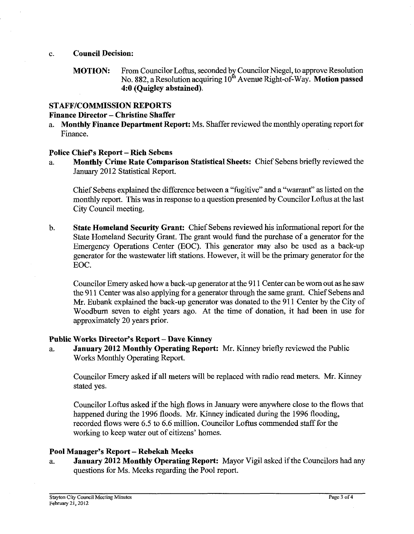#### c. **Council Decision:**

**MOTION:** From Councilor Loftus, seconded by Councilor Niegel, to approve Resolution No. 882, a Resolution acquiring  $10^{\text{th}}$  Avenue Right-of-Way. **Motion passed 4:O (Quigley abstained).** 

## **STAFFICOMMISSION REPORTS**

## **Finance Director** - **Christine Shaffer**

a. **Monthly Finance Department Report:** Ms. Shaffer reviewed the monthly operating report for Finance.

## **Police Chiefs Report** - **Rich Sebens**

a. **Monthly Crime Rate Comparison Statistical Sheets:** Chief Sebens briefly reviewed the January 2012 Statistical Report.

Chief Sebens explained the difference between a "fugitive" and a ''warrant'' as listed on the monthly report. This was in response to a question presented by Councilor Loftus at the last City Council meeting.

b. **State Homeland Security Grant:** Chief Sebens reviewed his informational report for the State Homeland Security Grant. The grant would fund the purchase of a generator for the Emergency Operations Center (EOC). This generator may also be used as a back-up generator for the wastewater lift stations. However, it will be the primary generator for the EOC.

Councilor Emery asked how a back-up generator at the 91 1 Center can be worn out as he saw the 91 1 Center was also applying for a generator through the same grant. Chief Sebens and Mr. Eubank explained the back-up generator was donated to the 911 Center by the City of Woodburn seven to eight years ago. At the time of donation, it had been in use for approximately 20 years prior.

## **Public Works Director's Report** - **Dave Kinney**

a. **January 2012 Monthly Operating Report:** Mr. Kinney briefly reviewed the Public Works Monthly Operating Report.

Councilor Emery asked if all meters will be replaced with radio read meters. Mr. Kinney stated yes.

Councilor Loftus asked if the high flows in January were anywhere close to the flows that happened during the 1996 floods. Mr. Kinney indicated during the 1996 flooding, recorded flows were 6.5 to 6.6 million. Councilor Loftus commended staff for the working to keep water out of citizens' homes.

## **Pool Manager's Report** - **Rehekah Meeks**

a. **January 2012 Monthly Operating Report:** Mayor Vigil asked if the Councilors had any questions for Ms. Meeks regarding the Pool report.